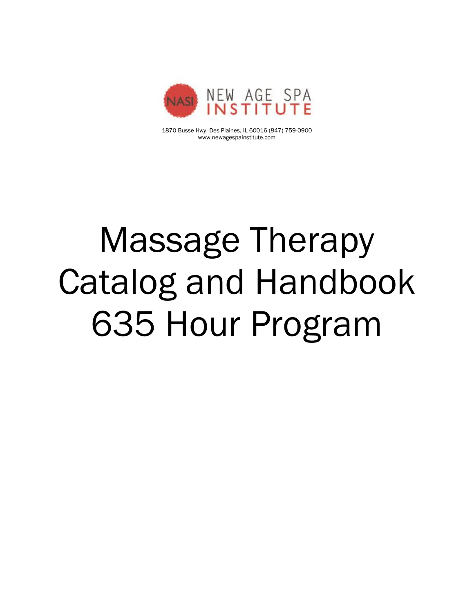

1870 Busse Hwy, Des Plaines, IL 60016 (847) 759-0900 www.newagespainstitute.com

# Massage Therapy Catalog and Handbook 635 Hour Program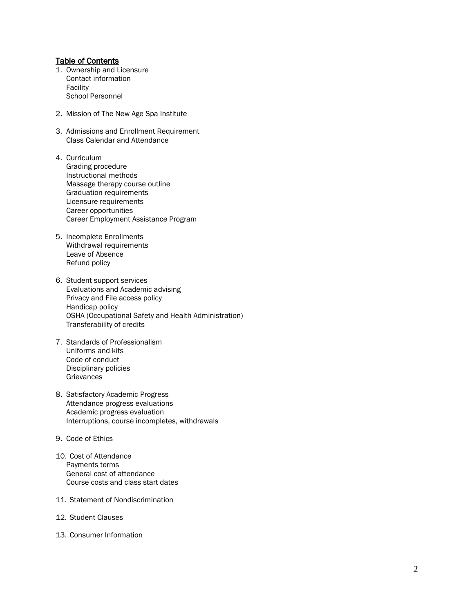#### Table of Contents

- 1. Ownership and Licensure Contact information Facility School Personnel
- 2. Mission of The New Age Spa Institute
- 3. Admissions and Enrollment Requirement Class Calendar and Attendance
- 4. Curriculum Grading procedure Instructional methods Massage therapy course outline Graduation requirements Licensure requirements Career opportunities Career Employment Assistance Program
- 5. Incomplete Enrollments Withdrawal requirements Leave of Absence Refund policy
- 6. Student support services Evaluations and Academic advising Privacy and File access policy Handicap policy OSHA (Occupational Safety and Health Administration) Transferability of credits
- 7. Standards of Professionalism Uniforms and kits Code of conduct Disciplinary policies **Grievances**
- 8. Satisfactory Academic Progress Attendance progress evaluations Academic progress evaluation Interruptions, course incompletes, withdrawals
- 9. Code of Ethics
- 10. Cost of Attendance Payments terms General cost of attendance Course costs and class start dates
- 11. Statement of Nondiscrimination
- 12. Student Clauses
- 13. Consumer Information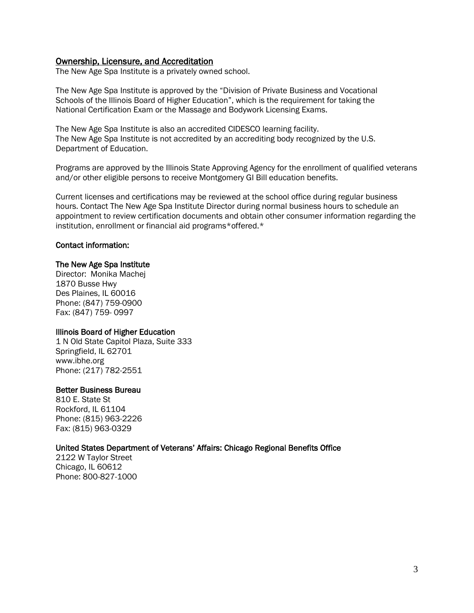#### Ownership, Licensure, and Accreditation

The New Age Spa Institute is a privately owned school.

The New Age Spa Institute is approved by the "Division of Private Business and Vocational Schools of the Illinois Board of Higher Education", which is the requirement for taking the National Certification Exam or the Massage and Bodywork Licensing Exams.

The New Age Spa Institute is also an accredited CIDESCO learning facility. The New Age Spa Institute is not accredited by an accrediting body recognized by the U.S. Department of Education.

Programs are approved by the Illinois State Approving Agency for the enrollment of qualified veterans and/or other eligible persons to receive Montgomery GI Bill education benefits.

Current licenses and certifications may be reviewed at the school office during regular business hours. Contact The New Age Spa Institute Director during normal business hours to schedule an appointment to review certification documents and obtain other consumer information regarding the institution, enrollment or financial aid programs\*offered.\*

#### Contact information:

#### The New Age Spa Institute

Director: Monika Machej 1870 Busse Hwy Des Plaines, IL 60016 Phone: (847) 759-0900 Fax: (847) 759- 0997

#### Illinois Board of Higher Education

1 N Old State Capitol Plaza, Suite 333 Springfield, IL 62701 www.ibhe.org Phone: (217) 782-2551

#### Better Business Bureau

810 E. State St Rockford, IL 61104 Phone: (815) 963-2226 Fax: (815) 963-0329

#### United States Department of Veterans' Affairs: Chicago Regional Benefits Office

2122 W Taylor Street Chicago, IL 60612 Phone: 800-827-1000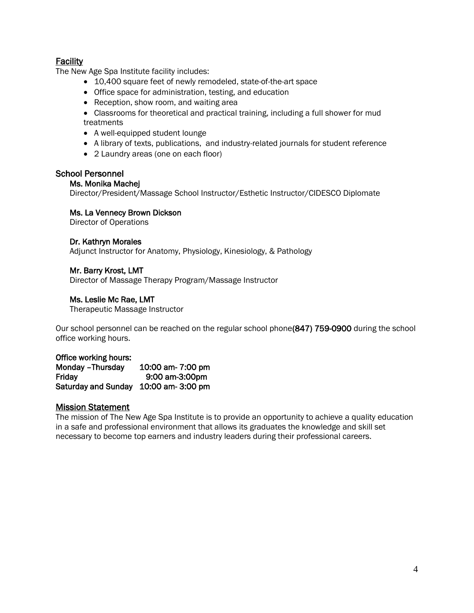# **Facility**

The New Age Spa Institute facility includes:

- 10,400 square feet of newly remodeled, state-of-the-art space
- Office space for administration, testing, and education
- Reception, show room, and waiting area
- Classrooms for theoretical and practical training, including a full shower for mud treatments
- A well-equipped student lounge
- A library of texts, publications, and industry-related journals for student reference
- 2 Laundry areas (one on each floor)

#### School Personnel

#### Ms. Monika Machej

Director/President/Massage School Instructor/Esthetic Instructor/CIDESCO Diplomate

#### Ms. La Vennecy Brown Dickson

Director of Operations

#### Dr. Kathryn Morales

Adjunct Instructor for Anatomy, Physiology, Kinesiology, & Pathology

#### Mr. Barry Krost, LMT

Director of Massage Therapy Program/Massage Instructor

#### Ms. Leslie Mc Rae, LMT

Therapeutic Massage Instructor

Our school personnel can be reached on the regular school phone(847) 759-0900 during the school office working hours.

#### Office working hours:

Monday –Thursday 10:00 am- 7:00 pm Friday 9:00 am-3:00pm Saturday and Sunday 10:00 am- 3:00 pm

#### Mission Statement

The mission of The New Age Spa Institute is to provide an opportunity to achieve a quality education in a safe and professional environment that allows its graduates the knowledge and skill set necessary to become top earners and industry leaders during their professional careers.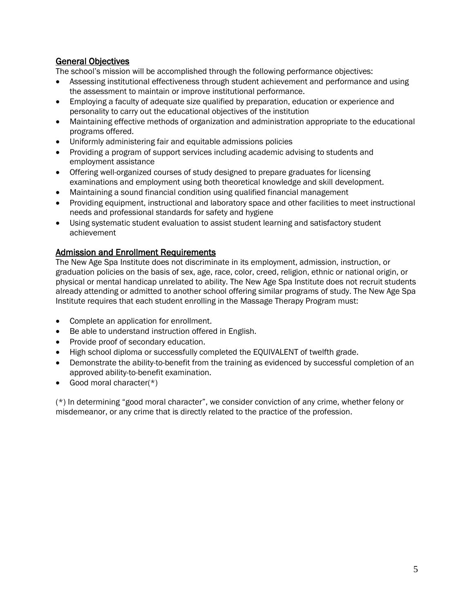# General Objectives

The school's mission will be accomplished through the following performance objectives:

- Assessing institutional effectiveness through student achievement and performance and using the assessment to maintain or improve institutional performance.
- Employing a faculty of adequate size qualified by preparation, education or experience and personality to carry out the educational objectives of the institution
- Maintaining effective methods of organization and administration appropriate to the educational programs offered.
- Uniformly administering fair and equitable admissions policies
- Providing a program of support services including academic advising to students and employment assistance
- Offering well-organized courses of study designed to prepare graduates for licensing examinations and employment using both theoretical knowledge and skill development.
- Maintaining a sound financial condition using qualified financial management
- Providing equipment, instructional and laboratory space and other facilities to meet instructional needs and professional standards for safety and hygiene
- Using systematic student evaluation to assist student learning and satisfactory student achievement

# Admission and Enrollment Requirements

The New Age Spa Institute does not discriminate in its employment, admission, instruction, or graduation policies on the basis of sex, age, race, color, creed, religion, ethnic or national origin, or physical or mental handicap unrelated to ability. The New Age Spa Institute does not recruit students already attending or admitted to another school offering similar programs of study. The New Age Spa Institute requires that each student enrolling in the Massage Therapy Program must:

- Complete an application for enrollment.
- Be able to understand instruction offered in English.
- Provide proof of secondary education.
- High school diploma or successfully completed the EQUIVALENT of twelfth grade.
- Demonstrate the ability-to-benefit from the training as evidenced by successful completion of an approved ability-to-benefit examination.
- Good moral character(\*)

(\*) In determining "good moral character", we consider conviction of any crime, whether felony or misdemeanor, or any crime that is directly related to the practice of the profession.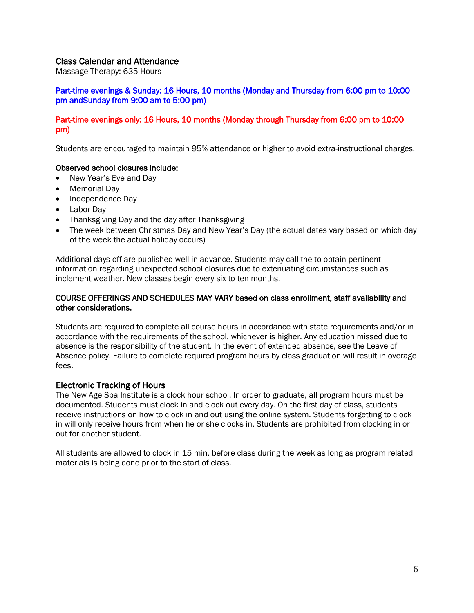#### Class Calendar and Attendance

Massage Therapy: 635 Hours

#### Part-time evenings & Sunday: 16 Hours, 10 months (Monday and Thursday from 6:00 pm to 10:00 pm andSunday from 9:00 am to 5:00 pm)

#### Part-time evenings only: 16 Hours, 10 months (Monday through Thursday from 6:00 pm to 10:00 pm)

Students are encouraged to maintain 95% attendance or higher to avoid extra-instructional charges.

#### Observed school closures include:

- New Year's Eve and Day
- Memorial Day
- Independence Day
- Labor Day
- Thanksgiving Day and the day after Thanksgiving
- The week between Christmas Day and New Year's Day (the actual dates vary based on which day of the week the actual holiday occurs)

Additional days off are published well in advance. Students may call the to obtain pertinent information regarding unexpected school closures due to extenuating circumstances such as inclement weather. New classes begin every six to ten months.

#### COURSE OFFERINGS AND SCHEDULES MAY VARY based on class enrollment, staff availability and other considerations.

Students are required to complete all course hours in accordance with state requirements and/or in accordance with the requirements of the school, whichever is higher. Any education missed due to absence is the responsibility of the student. In the event of extended absence, see the Leave of Absence policy. Failure to complete required program hours by class graduation will result in overage fees.

#### Electronic Tracking of Hours

The New Age Spa Institute is a clock hour school. In order to graduate, all program hours must be documented. Students must clock in and clock out every day. On the first day of class, students receive instructions on how to clock in and out using the online system. Students forgetting to clock in will only receive hours from when he or she clocks in. Students are prohibited from clocking in or out for another student.

All students are allowed to clock in 15 min. before class during the week as long as program related materials is being done prior to the start of class.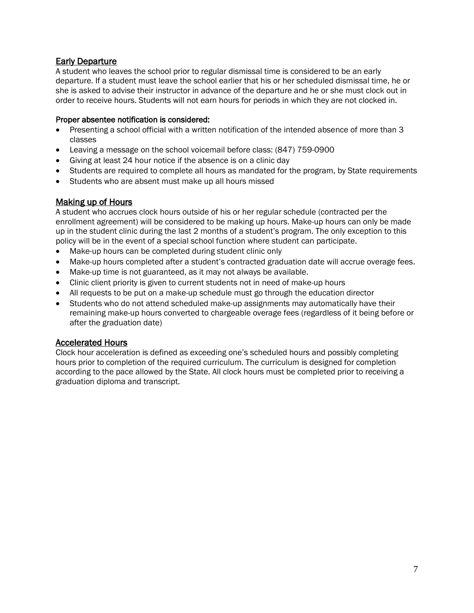# Early Departure

A student who leaves the school prior to regular dismissal time is considered to be an early departure. If a student must leave the school earlier that his or her scheduled dismissal time, he or she is asked to advise their instructor in advance of the departure and he or she must clock out in order to receive hours. Students will not earn hours for periods in which they are not clocked in.

#### Proper absentee notification is considered:

- Presenting a school official with a written notification of the intended absence of more than 3 classes
- Leaving a message on the school voicemail before class: (847) 759-0900
- Giving at least 24 hour notice if the absence is on a clinic day
- Students are required to complete all hours as mandated for the program, by State requirements
- Students who are absent must make up all hours missed

#### Making up of Hours

A student who accrues clock hours outside of his or her regular schedule (contracted per the enrollment agreement) will be considered to be making up hours. Make-up hours can only be made up in the student clinic during the last 2 months of a student's program. The only exception to this policy will be in the event of a special school function where student can participate.

- Make-up hours can be completed during student clinic only
- Make-up hours completed after a student's contracted graduation date will accrue overage fees.
- Make-up time is not guaranteed, as it may not always be available.
- Clinic client priority is given to current students not in need of make-up hours
- All requests to be put on a make-up schedule must go through the education director
- Students who do not attend scheduled make-up assignments may automatically have their remaining make-up hours converted to chargeable overage fees (regardless of it being before or after the graduation date)

#### Accelerated Hours

Clock hour acceleration is defined as exceeding one's scheduled hours and possibly completing hours prior to completion of the required curriculum. The curriculum is designed for completion according to the pace allowed by the State. All clock hours must be completed prior to receiving a graduation diploma and transcript.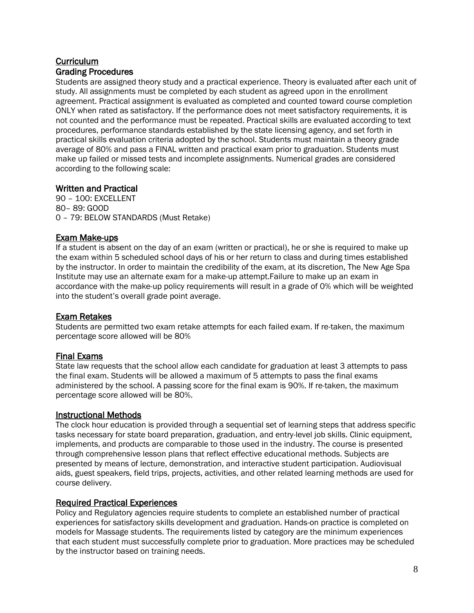# **Curriculum** Grading Procedures

Students are assigned theory study and a practical experience. Theory is evaluated after each unit of study. All assignments must be completed by each student as agreed upon in the enrollment agreement. Practical assignment is evaluated as completed and counted toward course completion ONLY when rated as satisfactory. If the performance does not meet satisfactory requirements, it is not counted and the performance must be repeated. Practical skills are evaluated according to text procedures, performance standards established by the state licensing agency, and set forth in practical skills evaluation criteria adopted by the school. Students must maintain a theory grade average of 80% and pass a FINAL written and practical exam prior to graduation. Students must make up failed or missed tests and incomplete assignments. Numerical grades are considered according to the following scale:

# Written and Practical

90 – 100: EXCELLENT 80– 89: GOOD 0 – 79: BELOW STANDARDS (Must Retake)

# Exam Make-ups

If a student is absent on the day of an exam (written or practical), he or she is required to make up the exam within 5 scheduled school days of his or her return to class and during times established by the instructor. In order to maintain the credibility of the exam, at its discretion, The New Age Spa Institute may use an alternate exam for a make-up attempt.Failure to make up an exam in accordance with the make-up policy requirements will result in a grade of 0% which will be weighted into the student's overall grade point average.

# Exam Retakes

Students are permitted two exam retake attempts for each failed exam. If re-taken, the maximum percentage score allowed will be 80%

# Final Exams

State law requests that the school allow each candidate for graduation at least 3 attempts to pass the final exam. Students will be allowed a maximum of 5 attempts to pass the final exams administered by the school. A passing score for the final exam is 90%. If re-taken, the maximum percentage score allowed will be 80%.

# Instructional Methods

The clock hour education is provided through a sequential set of learning steps that address specific tasks necessary for state board preparation, graduation, and entry-level job skills. Clinic equipment, implements, and products are comparable to those used in the industry. The course is presented through comprehensive lesson plans that reflect effective educational methods. Subjects are presented by means of lecture, demonstration, and interactive student participation. Audiovisual aids, guest speakers, field trips, projects, activities, and other related learning methods are used for course delivery.

# Required Practical Experiences

Policy and Regulatory agencies require students to complete an established number of practical experiences for satisfactory skills development and graduation. Hands-on practice is completed on models for Massage students. The requirements listed by category are the minimum experiences that each student must successfully complete prior to graduation. More practices may be scheduled by the instructor based on training needs.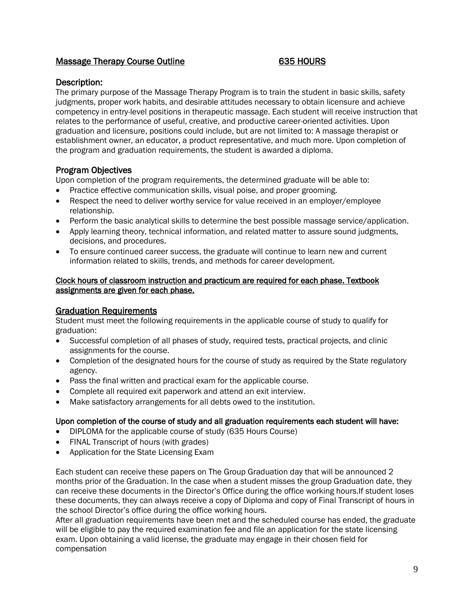# Massage Therapy Course Outline 635 HOURS

#### Description:

The primary purpose of the Massage Therapy Program is to train the student in basic skills, safety judgments, proper work habits, and desirable attitudes necessary to obtain licensure and achieve competency in entry-level positions in therapeutic massage. Each student will receive instruction that relates to the performance of useful, creative, and productive career-oriented activities. Upon graduation and licensure, positions could include, but are not limited to: A massage therapist or establishment owner, an educator, a product representative, and much more. Upon completion of the program and graduation requirements, the student is awarded a diploma.

# Program Objectives

Upon completion of the program requirements, the determined graduate will be able to:

- Practice effective communication skills, visual poise, and proper grooming.
- Respect the need to deliver worthy service for value received in an employer/employee relationship.
- Perform the basic analytical skills to determine the best possible massage service/application.
- Apply learning theory, technical information, and related matter to assure sound iudgments. decisions, and procedures.
- To ensure continued career success, the graduate will continue to learn new and current information related to skills, trends, and methods for career development.

#### Clock hours of classroom instruction and practicum are required for each phase. Textbook assignments are given for each phase.

#### Graduation Requirements

Student must meet the following requirements in the applicable course of study to qualify for graduation:

- Successful completion of all phases of study, required tests, practical projects, and clinic assignments for the course.
- Completion of the designated hours for the course of study as required by the State regulatory agency.
- Pass the final written and practical exam for the applicable course.
- Complete all required exit paperwork and attend an exit interview.
- Make satisfactory arrangements for all debts owed to the institution.

#### Upon completion of the course of study and all graduation requirements each student will have:

- DIPLOMA for the applicable course of study (635 Hours Course)
- FINAL Transcript of hours (with grades)
- Application for the State Licensing Exam

Each student can receive these papers on The Group Graduation day that will be announced 2 months prior of the Graduation. In the case when a student misses the group Graduation date, they can receive these documents in the Director's Office during the office working hours.If student loses these documents, they can always receive a copy of Diploma and copy of Final Transcript of hours in the school Director's office during the office working hours.

After all graduation requirements have been met and the scheduled course has ended, the graduate will be eligible to pay the required examination fee and file an application for the state licensing exam. Upon obtaining a valid license, the graduate may engage in their chosen field for compensation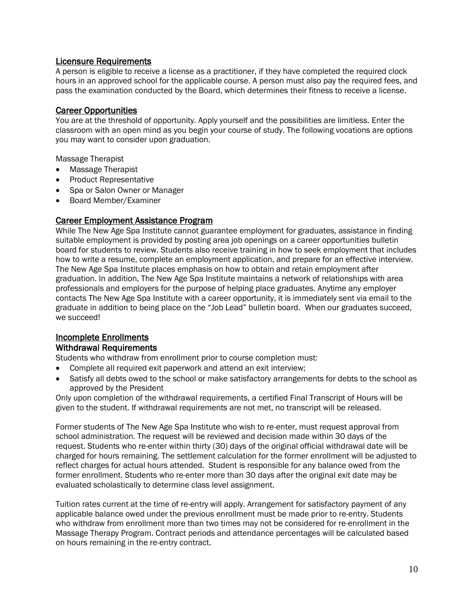#### Licensure Requirements

A person is eligible to receive a license as a practitioner, if they have completed the required clock hours in an approved school for the applicable course. A person must also pay the required fees, and pass the examination conducted by the Board, which determines their fitness to receive a license.

#### Career Opportunities

You are at the threshold of opportunity. Apply yourself and the possibilities are limitless. Enter the classroom with an open mind as you begin your course of study. The following vocations are options you may want to consider upon graduation.

Massage Therapist

- Massage Therapist
- Product Representative
- Spa or Salon Owner or Manager
- Board Member/Examiner

# Career Employment Assistance Program

While The New Age Spa Institute cannot guarantee employment for graduates, assistance in finding suitable employment is provided by posting area job openings on a career opportunities bulletin board for students to review. Students also receive training in how to seek employment that includes how to write a resume, complete an employment application, and prepare for an effective interview. The New Age Spa Institute places emphasis on how to obtain and retain employment after graduation. In addition, The New Age Spa Institute maintains a network of relationships with area professionals and employers for the purpose of helping place graduates. Anytime any employer contacts The New Age Spa Institute with a career opportunity, it is immediately sent via email to the graduate in addition to being place on the "Job Lead" bulletin board. When our graduates succeed, we succeed!

#### Incomplete Enrollments Withdrawal Requirements

Students who withdraw from enrollment prior to course completion must:

- Complete all required exit paperwork and attend an exit interview;
- Satisfy all debts owed to the school or make satisfactory arrangements for debts to the school as approved by the President

Only upon completion of the withdrawal requirements, a certified Final Transcript of Hours will be given to the student. If withdrawal requirements are not met, no transcript will be released.

Former students of The New Age Spa Institute who wish to re-enter, must request approval from school administration. The request will be reviewed and decision made within 30 days of the request. Students who re-enter within thirty (30) days of the original official withdrawal date will be charged for hours remaining. The settlement calculation for the former enrollment will be adjusted to reflect charges for actual hours attended. Student is responsible for any balance owed from the former enrollment. Students who re-enter more than 30 days after the original exit date may be evaluated scholastically to determine class level assignment.

Tuition rates current at the time of re-entry will apply. Arrangement for satisfactory payment of any applicable balance owed under the previous enrollment must be made prior to re-entry. Students who withdraw from enrollment more than two times may not be considered for re-enrollment in the Massage Therapy Program. Contract periods and attendance percentages will be calculated based on hours remaining in the re-entry contract.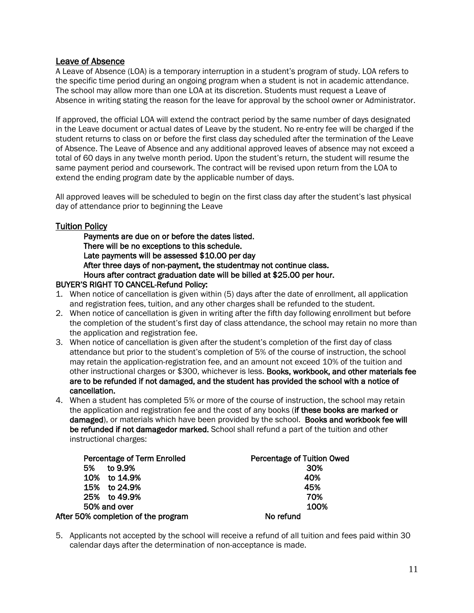# Leave of Absence

A Leave of Absence (LOA) is a temporary interruption in a student's program of study. LOA refers to the specific time period during an ongoing program when a student is not in academic attendance. The school may allow more than one LOA at its discretion. Students must request a Leave of Absence in writing stating the reason for the leave for approval by the school owner or Administrator.

If approved, the official LOA will extend the contract period by the same number of days designated in the Leave document or actual dates of Leave by the student. No re-entry fee will be charged if the student returns to class on or before the first class day scheduled after the termination of the Leave of Absence. The Leave of Absence and any additional approved leaves of absence may not exceed a total of 60 days in any twelve month period. Upon the student's return, the student will resume the same payment period and coursework. The contract will be revised upon return from the LOA to extend the ending program date by the applicable number of days.

All approved leaves will be scheduled to begin on the first class day after the student's last physical day of attendance prior to beginning the Leave

#### Tuition Policy

Payments are due on or before the dates listed. There will be no exceptions to this schedule. Late payments will be assessed \$10.00 per day After three days of non-payment, the studentmay not continue class. Hours after contract graduation date will be billed at \$25.00 per hour.

#### BUYER'S RIGHT TO CANCEL-Refund Policy:

- 1. When notice of cancellation is given within (5) days after the date of enrollment, all application and registration fees, tuition, and any other charges shall be refunded to the student.
- 2. When notice of cancellation is given in writing after the fifth day following enrollment but before the completion of the student's first day of class attendance, the school may retain no more than the application and registration fee.
- 3. When notice of cancellation is given after the student's completion of the first day of class attendance but prior to the student's completion of 5% of the course of instruction, the school may retain the application-registration fee, and an amount not exceed 10% of the tuition and other instructional charges or \$300, whichever is less. Books, workbook, and other materials fee are to be refunded if not damaged, and the student has provided the school with a notice of cancellation.
- 4. When a student has completed 5% or more of the course of instruction, the school may retain the application and registration fee and the cost of any books (if these books are marked or damaged), or materials which have been provided by the school. Books and workbook fee will be refunded if not damagedor marked. School shall refund a part of the tuition and other instructional charges:

| Percentage of Term Enrolled         | Percentage of Tuition Owed |
|-------------------------------------|----------------------------|
| to 9.9%<br>5%                       | 30%                        |
| 10% to 14.9%                        | 40%                        |
| 15% to 24.9%                        | 45%                        |
| 25% to 49.9%                        | 70%                        |
| 50% and over                        | 100%                       |
| After 50% completion of the program | No refund                  |

5. Applicants not accepted by the school will receive a refund of all tuition and fees paid within 30 calendar days after the determination of non-acceptance is made.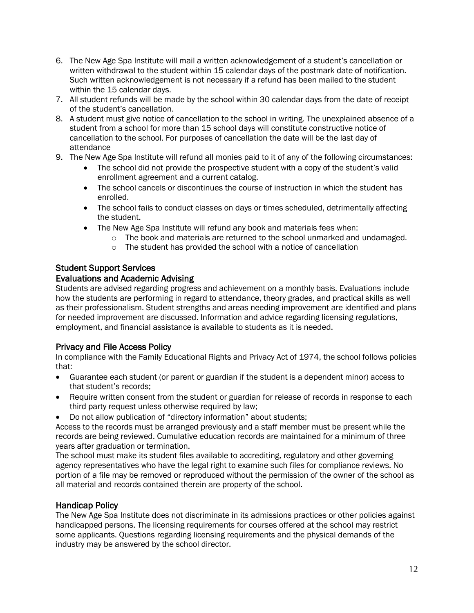- 6. The New Age Spa Institute will mail a written acknowledgement of a student's cancellation or written withdrawal to the student within 15 calendar days of the postmark date of notification. Such written acknowledgement is not necessary if a refund has been mailed to the student within the 15 calendar days.
- 7. All student refunds will be made by the school within 30 calendar days from the date of receipt of the student's cancellation.
- 8. A student must give notice of cancellation to the school in writing. The unexplained absence of a student from a school for more than 15 school days will constitute constructive notice of cancellation to the school. For purposes of cancellation the date will be the last day of attendance
- 9. The New Age Spa Institute will refund all monies paid to it of any of the following circumstances:
	- The school did not provide the prospective student with a copy of the student's valid enrollment agreement and a current catalog.
	- The school cancels or discontinues the course of instruction in which the student has enrolled.
	- The school fails to conduct classes on days or times scheduled, detrimentally affecting the student.
	- The New Age Spa Institute will refund any book and materials fees when:
		- $\circ$  The book and materials are returned to the school unmarked and undamaged.
		- o The student has provided the school with a notice of cancellation

# Student Support Services

# Evaluations and Academic Advising

Students are advised regarding progress and achievement on a monthly basis. Evaluations include how the students are performing in regard to attendance, theory grades, and practical skills as well as their professionalism. Student strengths and areas needing improvement are identified and plans for needed improvement are discussed. Information and advice regarding licensing regulations, employment, and financial assistance is available to students as it is needed.

# Privacy and File Access Policy

In compliance with the Family Educational Rights and Privacy Act of 1974, the school follows policies that:

- Guarantee each student (or parent or guardian if the student is a dependent minor) access to that student's records;
- Require written consent from the student or guardian for release of records in response to each third party request unless otherwise required by law;
- Do not allow publication of "directory information" about students;

Access to the records must be arranged previously and a staff member must be present while the records are being reviewed. Cumulative education records are maintained for a minimum of three years after graduation or termination.

The school must make its student files available to accrediting, regulatory and other governing agency representatives who have the legal right to examine such files for compliance reviews. No portion of a file may be removed or reproduced without the permission of the owner of the school as all material and records contained therein are property of the school.

# Handicap Policy

The New Age Spa Institute does not discriminate in its admissions practices or other policies against handicapped persons. The licensing requirements for courses offered at the school may restrict some applicants. Questions regarding licensing requirements and the physical demands of the industry may be answered by the school director.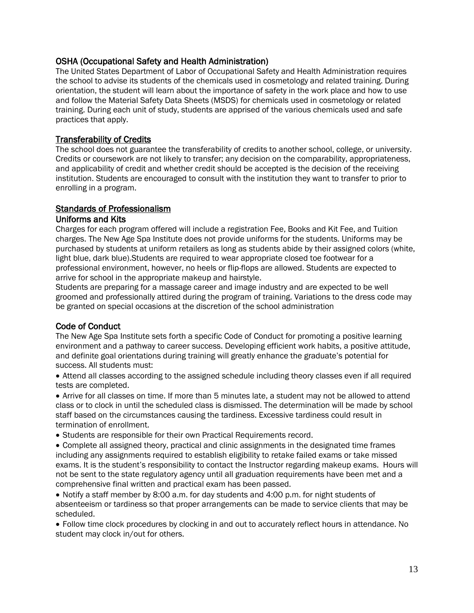# OSHA (Occupational Safety and Health Administration)

The United States Department of Labor of Occupational Safety and Health Administration requires the school to advise its students of the chemicals used in cosmetology and related training. During orientation, the student will learn about the importance of safety in the work place and how to use and follow the Material Safety Data Sheets (MSDS) for chemicals used in cosmetology or related training. During each unit of study, students are apprised of the various chemicals used and safe practices that apply.

# Transferability of Credits

The school does not guarantee the transferability of credits to another school, college, or university. Credits or coursework are not likely to transfer; any decision on the comparability, appropriateness, and applicability of credit and whether credit should be accepted is the decision of the receiving institution. Students are encouraged to consult with the institution they want to transfer to prior to enrolling in a program.

#### Standards of Professionalism

#### Uniforms and Kits

Charges for each program offered will include a registration Fee, Books and Kit Fee, and Tuition charges. The New Age Spa Institute does not provide uniforms for the students. Uniforms may be purchased by students at uniform retailers as long as students abide by their assigned colors (white, light blue, dark blue).Students are required to wear appropriate closed toe footwear for a professional environment, however, no heels or flip-flops are allowed. Students are expected to arrive for school in the appropriate makeup and hairstyle.

Students are preparing for a massage career and image industry and are expected to be well groomed and professionally attired during the program of training. Variations to the dress code may be granted on special occasions at the discretion of the school administration

# Code of Conduct

The New Age Spa Institute sets forth a specific Code of Conduct for promoting a positive learning environment and a pathway to career success. Developing efficient work habits, a positive attitude, and definite goal orientations during training will greatly enhance the graduate's potential for success. All students must:

• Attend all classes according to the assigned schedule including theory classes even if all required tests are completed.

• Arrive for all classes on time. If more than 5 minutes late, a student may not be allowed to attend class or to clock in until the scheduled class is dismissed. The determination will be made by school staff based on the circumstances causing the tardiness. Excessive tardiness could result in termination of enrollment.

• Students are responsible for their own Practical Requirements record.

• Complete all assigned theory, practical and clinic assignments in the designated time frames including any assignments required to establish eligibility to retake failed exams or take missed exams. It is the student's responsibility to contact the Instructor regarding makeup exams. Hours will not be sent to the state regulatory agency until all graduation requirements have been met and a comprehensive final written and practical exam has been passed.

• Notify a staff member by 8:00 a.m. for day students and 4:00 p.m. for night students of absenteeism or tardiness so that proper arrangements can be made to service clients that may be scheduled.

• Follow time clock procedures by clocking in and out to accurately reflect hours in attendance. No student may clock in/out for others.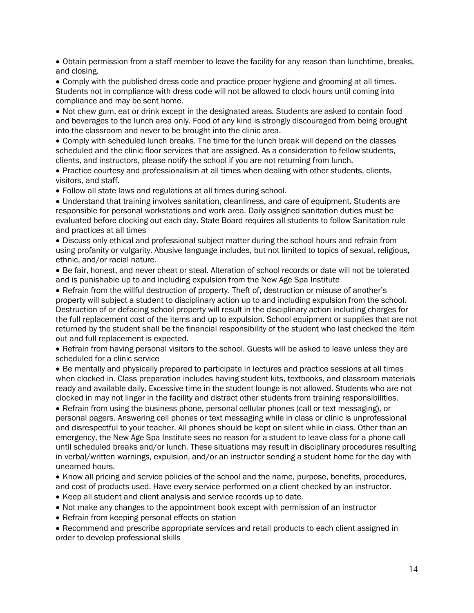• Obtain permission from a staff member to leave the facility for any reason than lunchtime, breaks, and closing.

• Comply with the published dress code and practice proper hygiene and grooming at all times. Students not in compliance with dress code will not be allowed to clock hours until coming into compliance and may be sent home.

• Not chew gum, eat or drink except in the designated areas. Students are asked to contain food and beverages to the lunch area only. Food of any kind is strongly discouraged from being brought into the classroom and never to be brought into the clinic area.

• Comply with scheduled lunch breaks. The time for the lunch break will depend on the classes scheduled and the clinic floor services that are assigned. As a consideration to fellow students, clients, and instructors, please notify the school if you are not returning from lunch.

• Practice courtesy and professionalism at all times when dealing with other students, clients, visitors, and staff.

• Follow all state laws and regulations at all times during school.

• Understand that training involves sanitation, cleanliness, and care of equipment. Students are responsible for personal workstations and work area. Daily assigned sanitation duties must be evaluated before clocking out each day. State Board requires all students to follow Sanitation rule and practices at all times

• Discuss only ethical and professional subject matter during the school hours and refrain from using profanity or vulgarity. Abusive language includes, but not limited to topics of sexual, religious, ethnic, and/or racial nature.

• Be fair, honest, and never cheat or steal. Alteration of school records or date will not be tolerated and is punishable up to and including expulsion from the New Age Spa Institute

• Refrain from the willful destruction of property. Theft of, destruction or misuse of another's property will subject a student to disciplinary action up to and including expulsion from the school. Destruction of or defacing school property will result in the disciplinary action including charges for the full replacement cost of the items and up to expulsion. School equipment or supplies that are not returned by the student shall be the financial responsibility of the student who last checked the item out and full replacement is expected.

• Refrain from having personal visitors to the school. Guests will be asked to leave unless they are scheduled for a clinic service

• Be mentally and physically prepared to participate in lectures and practice sessions at all times when clocked in. Class preparation includes having student kits, textbooks, and classroom materials ready and available daily. Excessive time in the student lounge is not allowed. Students who are not clocked in may not linger in the facility and distract other students from training responsibilities.

• Refrain from using the business phone, personal cellular phones (call or text messaging), or personal pagers. Answering cell phones or text messaging while in class or clinic is unprofessional and disrespectful to your teacher. All phones should be kept on silent while in class. Other than an emergency, the New Age Spa Institute sees no reason for a student to leave class for a phone call until scheduled breaks and/or lunch. These situations may result in disciplinary procedures resulting in verbal/written warnings, expulsion, and/or an instructor sending a student home for the day with unearned hours.

• Know all pricing and service policies of the school and the name, purpose, benefits, procedures, and cost of products used. Have every service performed on a client checked by an instructor.

- Keep all student and client analysis and service records up to date.
- Not make any changes to the appointment book except with permission of an instructor
- Refrain from keeping personal effects on station

• Recommend and prescribe appropriate services and retail products to each client assigned in order to develop professional skills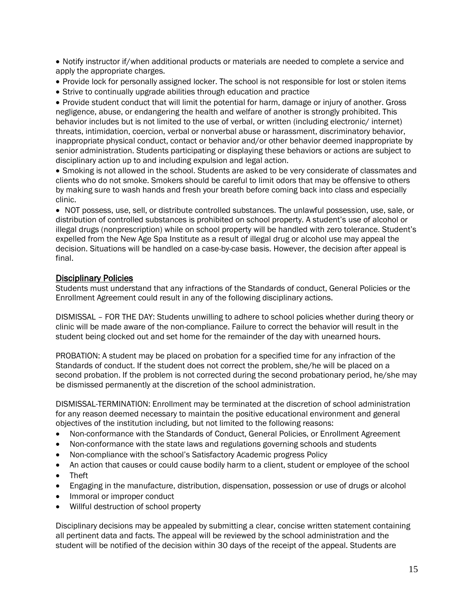• Notify instructor if/when additional products or materials are needed to complete a service and apply the appropriate charges.

- Provide lock for personally assigned locker. The school is not responsible for lost or stolen items
- Strive to continually upgrade abilities through education and practice

• Provide student conduct that will limit the potential for harm, damage or injury of another. Gross negligence, abuse, or endangering the health and welfare of another is strongly prohibited. This behavior includes but is not limited to the use of verbal, or written (including electronic/ internet) threats, intimidation, coercion, verbal or nonverbal abuse or harassment, discriminatory behavior, inappropriate physical conduct, contact or behavior and/or other behavior deemed inappropriate by senior administration. Students participating or displaying these behaviors or actions are subject to disciplinary action up to and including expulsion and legal action.

• Smoking is not allowed in the school. Students are asked to be very considerate of classmates and clients who do not smoke. Smokers should be careful to limit odors that may be offensive to others by making sure to wash hands and fresh your breath before coming back into class and especially clinic.

• NOT possess, use, sell, or distribute controlled substances. The unlawful possession, use, sale, or distribution of controlled substances is prohibited on school property. A student's use of alcohol or illegal drugs (nonprescription) while on school property will be handled with zero tolerance. Student's expelled from the New Age Spa Institute as a result of illegal drug or alcohol use may appeal the decision. Situations will be handled on a case-by-case basis. However, the decision after appeal is final.

#### Disciplinary Policies

Students must understand that any infractions of the Standards of conduct, General Policies or the Enrollment Agreement could result in any of the following disciplinary actions.

DISMISSAL – FOR THE DAY: Students unwilling to adhere to school policies whether during theory or clinic will be made aware of the non-compliance. Failure to correct the behavior will result in the student being clocked out and set home for the remainder of the day with unearned hours.

PROBATION: A student may be placed on probation for a specified time for any infraction of the Standards of conduct. If the student does not correct the problem, she/he will be placed on a second probation. If the problem is not corrected during the second probationary period, he/she may be dismissed permanently at the discretion of the school administration.

DISMISSAL-TERMINATION: Enrollment may be terminated at the discretion of school administration for any reason deemed necessary to maintain the positive educational environment and general objectives of the institution including, but not limited to the following reasons:

- Non-conformance with the Standards of Conduct, General Policies, or Enrollment Agreement
- Non-conformance with the state laws and regulations governing schools and students
- Non-compliance with the school's Satisfactory Academic progress Policy
- An action that causes or could cause bodily harm to a client, student or employee of the school
- Theft
- Engaging in the manufacture, distribution, dispensation, possession or use of drugs or alcohol
- Immoral or improper conduct
- Willful destruction of school property

Disciplinary decisions may be appealed by submitting a clear, concise written statement containing all pertinent data and facts. The appeal will be reviewed by the school administration and the student will be notified of the decision within 30 days of the receipt of the appeal. Students are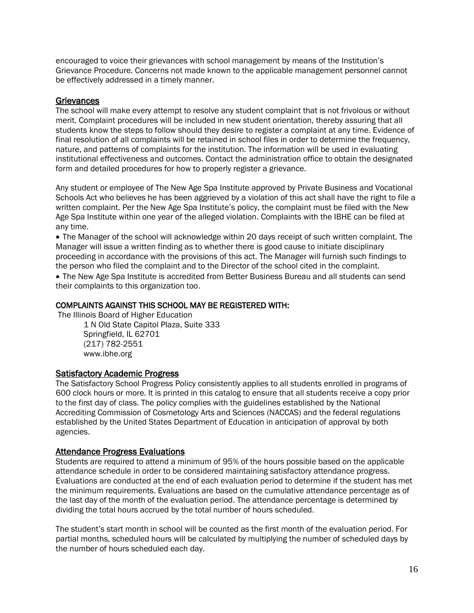encouraged to voice their grievances with school management by means of the Institution's Grievance Procedure. Concerns not made known to the applicable management personnel cannot be effectively addressed in a timely manner.

#### **Grievances**

The school will make every attempt to resolve any student complaint that is not frivolous or without merit. Complaint procedures will be included in new student orientation, thereby assuring that all students know the steps to follow should they desire to register a complaint at any time. Evidence of final resolution of all complaints will be retained in school files in order to determine the frequency, nature, and patterns of complaints for the institution. The information will be used in evaluating institutional effectiveness and outcomes. Contact the administration office to obtain the designated form and detailed procedures for how to properly register a grievance.

Any student or employee of The New Age Spa Institute approved by Private Business and Vocational Schools Act who believes he has been aggrieved by a violation of this act shall have the right to file a written complaint. Per the New Age Spa Institute's policy, the complaint must be filed with the New Age Spa Institute within one year of the alleged violation. Complaints with the IBHE can be filed at any time.

• The Manager of the school will acknowledge within 20 days receipt of such written complaint. The Manager will issue a written finding as to whether there is good cause to initiate disciplinary proceeding in accordance with the provisions of this act. The Manager will furnish such findings to the person who filed the complaint and to the Director of the school cited in the complaint.

• The New Age Spa Institute is accredited from Better Business Bureau and all students can send their complaints to this organization too.

#### COMPLAINTS AGAINST THIS SCHOOL MAY BE REGISTERED WITH:

The Illinois Board of Higher Education

1 N Old State Capitol Plaza, Suite 333 Springfield, IL 62701 (217) 782-2551 www.ibhe.org

#### Satisfactory Academic Progress

The Satisfactory School Progress Policy consistently applies to all students enrolled in programs of 600 clock hours or more. It is printed in this catalog to ensure that all students receive a copy prior to the first day of class. The policy complies with the guidelines established by the National Accrediting Commission of Cosmetology Arts and Sciences (NACCAS) and the federal regulations established by the United States Department of Education in anticipation of approval by both agencies.

#### Attendance Progress Evaluations

Students are required to attend a minimum of 95% of the hours possible based on the applicable attendance schedule in order to be considered maintaining satisfactory attendance progress. Evaluations are conducted at the end of each evaluation period to determine if the student has met the minimum requirements. Evaluations are based on the cumulative attendance percentage as of the last day of the month of the evaluation period. The attendance percentage is determined by dividing the total hours accrued by the total number of hours scheduled.

The student's start month in school will be counted as the first month of the evaluation period. For partial months, scheduled hours will be calculated by multiplying the number of scheduled days by the number of hours scheduled each day.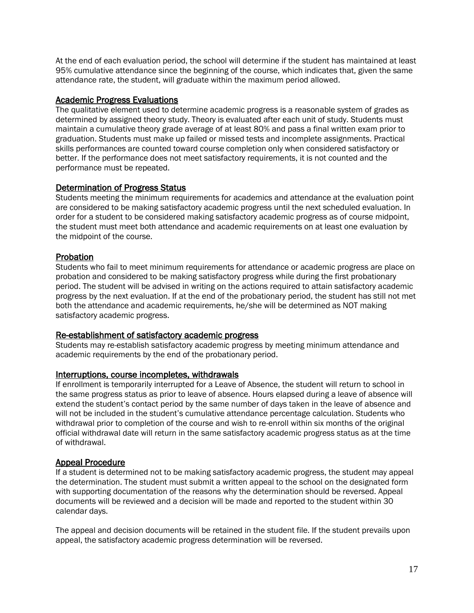At the end of each evaluation period, the school will determine if the student has maintained at least 95% cumulative attendance since the beginning of the course, which indicates that, given the same attendance rate, the student, will graduate within the maximum period allowed.

#### Academic Progress Evaluations

The qualitative element used to determine academic progress is a reasonable system of grades as determined by assigned theory study. Theory is evaluated after each unit of study. Students must maintain a cumulative theory grade average of at least 80% and pass a final written exam prior to graduation. Students must make up failed or missed tests and incomplete assignments. Practical skills performances are counted toward course completion only when considered satisfactory or better. If the performance does not meet satisfactory requirements, it is not counted and the performance must be repeated.

# Determination of Progress Status

Students meeting the minimum requirements for academics and attendance at the evaluation point are considered to be making satisfactory academic progress until the next scheduled evaluation. In order for a student to be considered making satisfactory academic progress as of course midpoint, the student must meet both attendance and academic requirements on at least one evaluation by the midpoint of the course.

# **Probation**

Students who fail to meet minimum requirements for attendance or academic progress are place on probation and considered to be making satisfactory progress while during the first probationary period. The student will be advised in writing on the actions required to attain satisfactory academic progress by the next evaluation. If at the end of the probationary period, the student has still not met both the attendance and academic requirements, he/she will be determined as NOT making satisfactory academic progress.

#### Re-establishment of satisfactory academic progress

Students may re-establish satisfactory academic progress by meeting minimum attendance and academic requirements by the end of the probationary period.

#### Interruptions, course incompletes, withdrawals

If enrollment is temporarily interrupted for a Leave of Absence, the student will return to school in the same progress status as prior to leave of absence. Hours elapsed during a leave of absence will extend the student's contact period by the same number of days taken in the leave of absence and will not be included in the student's cumulative attendance percentage calculation. Students who withdrawal prior to completion of the course and wish to re-enroll within six months of the original official withdrawal date will return in the same satisfactory academic progress status as at the time of withdrawal.

#### Appeal Procedure

If a student is determined not to be making satisfactory academic progress, the student may appeal the determination. The student must submit a written appeal to the school on the designated form with supporting documentation of the reasons why the determination should be reversed. Appeal documents will be reviewed and a decision will be made and reported to the student within 30 calendar days.

The appeal and decision documents will be retained in the student file. If the student prevails upon appeal, the satisfactory academic progress determination will be reversed.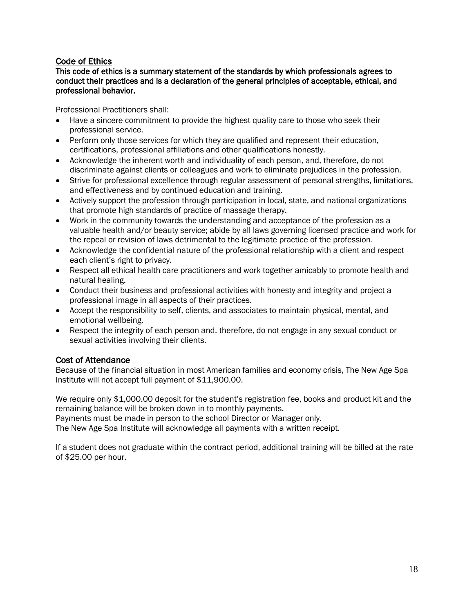# Code of Ethics

#### This code of ethics is a summary statement of the standards by which professionals agrees to conduct their practices and is a declaration of the general principles of acceptable, ethical, and professional behavior.

Professional Practitioners shall:

- Have a sincere commitment to provide the highest quality care to those who seek their professional service.
- Perform only those services for which they are qualified and represent their education, certifications, professional affiliations and other qualifications honestly.
- Acknowledge the inherent worth and individuality of each person, and, therefore, do not discriminate against clients or colleagues and work to eliminate prejudices in the profession.
- Strive for professional excellence through regular assessment of personal strengths, limitations, and effectiveness and by continued education and training.
- Actively support the profession through participation in local, state, and national organizations that promote high standards of practice of massage therapy.
- Work in the community towards the understanding and acceptance of the profession as a valuable health and/or beauty service; abide by all laws governing licensed practice and work for the repeal or revision of laws detrimental to the legitimate practice of the profession.
- Acknowledge the confidential nature of the professional relationship with a client and respect each client's right to privacy.
- Respect all ethical health care practitioners and work together amicably to promote health and natural healing.
- Conduct their business and professional activities with honesty and integrity and project a professional image in all aspects of their practices.
- Accept the responsibility to self, clients, and associates to maintain physical, mental, and emotional wellbeing.
- Respect the integrity of each person and, therefore, do not engage in any sexual conduct or sexual activities involving their clients.

# Cost of Attendance

Because of the financial situation in most American families and economy crisis, The New Age Spa Institute will not accept full payment of \$11,900.00.

We require only \$1,000.00 deposit for the student's registration fee, books and product kit and the remaining balance will be broken down in to monthly payments.

Payments must be made in person to the school Director or Manager only.

The New Age Spa Institute will acknowledge all payments with a written receipt.

If a student does not graduate within the contract period, additional training will be billed at the rate of \$25.00 per hour.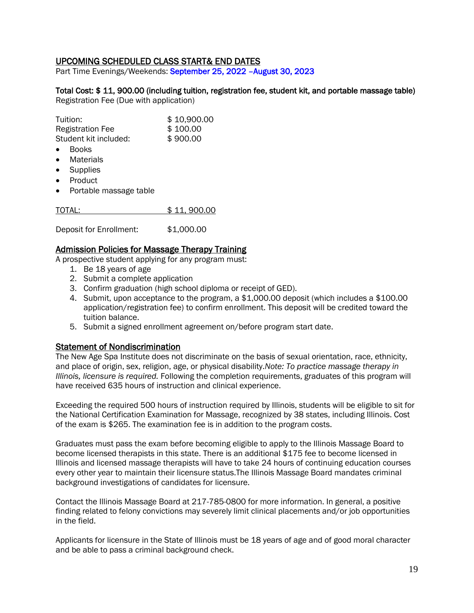# UPCOMING SCHEDULED CLASS START& END DATES

Part Time Evenings/Weekends: September 25, 2022 –August 30, 2023

# Total Cost: \$ 11, 900.00 (including tuition, registration fee, student kit, and portable massage table)

Registration Fee (Due with application)

| Tuition:                | \$10,900.00 |
|-------------------------|-------------|
| <b>Registration Fee</b> | \$100.00    |
| Student kit included:   | \$900.00    |

- Books
- Materials
- Supplies
- Product
- Portable massage table

| TOTAL: |  | \$11,900.00 |
|--------|--|-------------|
|--------|--|-------------|

Deposit for Enrollment: \$1,000.00

#### Admission Policies for Massage Therapy Training

A prospective student applying for any program must:

- 1. Be 18 years of age
- 2. Submit a complete application
- 3. Confirm graduation (high school diploma or receipt of GED).
- 4. Submit, upon acceptance to the program, a \$1,000.00 deposit (which includes a \$100.00 application/registration fee) to confirm enrollment. This deposit will be credited toward the tuition balance.
- 5. Submit a signed enrollment agreement on/before program start date.

#### Statement of Nondiscrimination

The New Age Spa Institute does not discriminate on the basis of sexual orientation, race, ethnicity, and place of origin, sex, religion, age, or physical disability.*Note: To practice massage therapy in Illinois, licensure is required.* Following the completion requirements, graduates of this program will have received 635 hours of instruction and clinical experience.

Exceeding the required 500 hours of instruction required by Illinois, students will be eligible to sit for the National Certification Examination for Massage, recognized by 38 states, including Illinois. Cost of the exam is \$265. The examination fee is in addition to the program costs.

Graduates must pass the exam before becoming eligible to apply to the Illinois Massage Board to become licensed therapists in this state. There is an additional \$175 fee to become licensed in Illinois and licensed massage therapists will have to take 24 hours of continuing education courses every other year to maintain their licensure status.The Illinois Massage Board mandates criminal background investigations of candidates for licensure.

Contact the Illinois Massage Board at 217-785-0800 for more information. In general, a positive finding related to felony convictions may severely limit clinical placements and/or job opportunities in the field.

Applicants for licensure in the State of Illinois must be 18 years of age and of good moral character and be able to pass a criminal background check.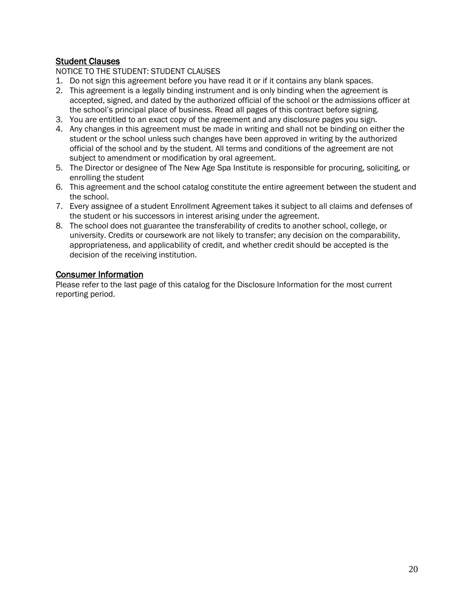# Student Clauses

NOTICE TO THE STUDENT: STUDENT CLAUSES

- 1. Do not sign this agreement before you have read it or if it contains any blank spaces.
- 2. This agreement is a legally binding instrument and is only binding when the agreement is accepted, signed, and dated by the authorized official of the school or the admissions officer at the school's principal place of business. Read all pages of this contract before signing.
- 3. You are entitled to an exact copy of the agreement and any disclosure pages you sign.
- 4. Any changes in this agreement must be made in writing and shall not be binding on either the student or the school unless such changes have been approved in writing by the authorized official of the school and by the student. All terms and conditions of the agreement are not subject to amendment or modification by oral agreement.
- 5. The Director or designee of The New Age Spa Institute is responsible for procuring, soliciting, or enrolling the student
- 6. This agreement and the school catalog constitute the entire agreement between the student and the school.
- 7. Every assignee of a student Enrollment Agreement takes it subject to all claims and defenses of the student or his successors in interest arising under the agreement.
- 8. The school does not guarantee the transferability of credits to another school, college, or university. Credits or coursework are not likely to transfer; any decision on the comparability, appropriateness, and applicability of credit, and whether credit should be accepted is the decision of the receiving institution.

# Consumer Information

Please refer to the last page of this catalog for the Disclosure Information for the most current reporting period.